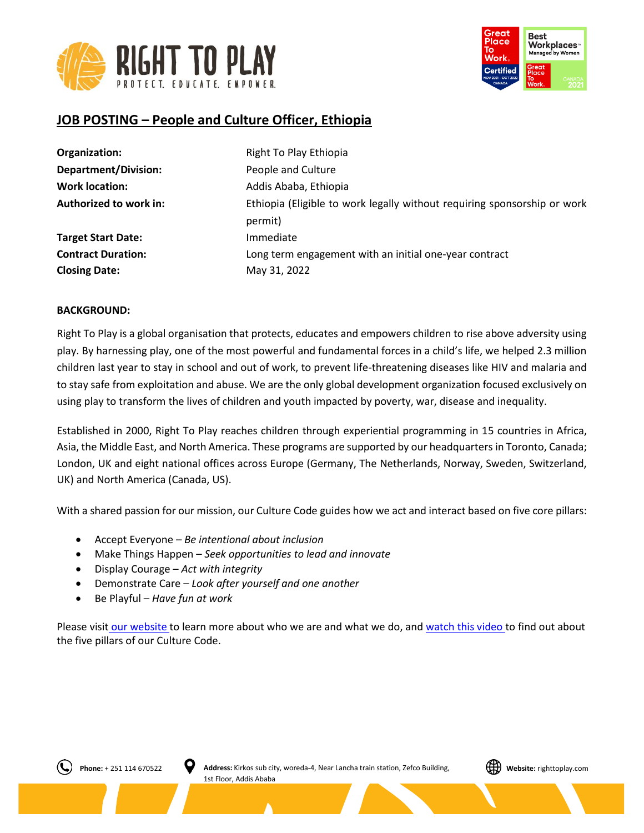



# **JOB POSTING – People and Culture Officer, Ethiopia**

| Organization:               | Right To Play Ethiopia                                                              |
|-----------------------------|-------------------------------------------------------------------------------------|
| <b>Department/Division:</b> | People and Culture                                                                  |
| <b>Work location:</b>       | Addis Ababa, Ethiopia                                                               |
| Authorized to work in:      | Ethiopia (Eligible to work legally without requiring sponsorship or work<br>permit) |
| <b>Target Start Date:</b>   | Immediate                                                                           |
| <b>Contract Duration:</b>   | Long term engagement with an initial one-year contract                              |
| <b>Closing Date:</b>        | May 31, 2022                                                                        |

## **BACKGROUND:**

Right To Play is a global organisation that protects, educates and empowers children to rise above adversity using play. By harnessing play, one of the most powerful and fundamental forces in a child's life, we helped 2.3 million children last year to stay in school and out of work, to prevent life-threatening diseases like HIV and malaria and to stay safe from exploitation and abuse. We are the only global development organization focused exclusively on using play to transform the lives of children and youth impacted by poverty, war, disease and inequality.

Established in 2000, Right To Play reaches children through experiential programming in 15 countries in Africa, Asia, the Middle East, and North America. These programs are supported by our headquarters in Toronto, Canada; London, UK and eight national offices across Europe (Germany, The Netherlands, Norway, Sweden, Switzerland, UK) and North America (Canada, US).

With a shared passion for our mission, our Culture Code guides how we act and interact based on five core pillars:

- Accept Everyone *Be intentional about inclusion*
- Make Things Happen *Seek opportunities to lead and innovate*
- Display Courage *Act with integrity*
- Demonstrate Care *Look after yourself and one another*
- Be Playful *Have fun at work*

Please visit [our website](http://www.righttoplay.ca/) to learn more about who we are and what we do, and [watch this video](https://www.righttoplay.com/en/landing/our-culture-code/) to find out about the five pillars of our Culture Code.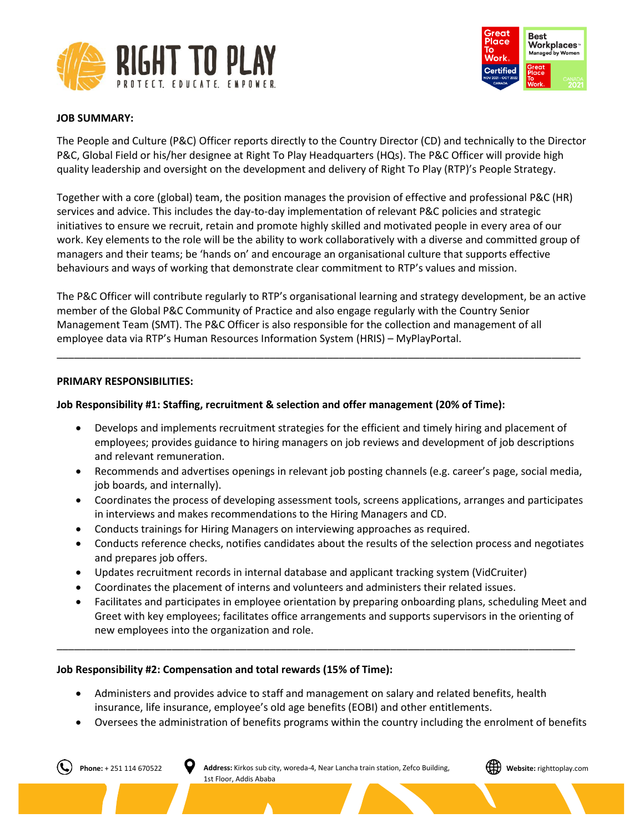



## **JOB SUMMARY:**

The People and Culture (P&C) Officer reports directly to the Country Director (CD) and technically to the Director P&C, Global Field or his/her designee at Right To Play Headquarters (HQs). The P&C Officer will provide high quality leadership and oversight on the development and delivery of Right To Play (RTP)'s People Strategy.

Together with a core (global) team, the position manages the provision of effective and professional P&C (HR) services and advice. This includes the day-to-day implementation of relevant P&C policies and strategic initiatives to ensure we recruit, retain and promote highly skilled and motivated people in every area of our work. Key elements to the role will be the ability to work collaboratively with a diverse and committed group of managers and their teams; be 'hands on' and encourage an organisational culture that supports effective behaviours and ways of working that demonstrate clear commitment to RTP's values and mission.

The P&C Officer will contribute regularly to RTP's organisational learning and strategy development, be an active member of the Global P&C Community of Practice and also engage regularly with the Country Senior Management Team (SMT). The P&C Officer is also responsible for the collection and management of all employee data via RTP's Human Resources Information System (HRIS) – MyPlayPortal.

\_\_\_\_\_\_\_\_\_\_\_\_\_\_\_\_\_\_\_\_\_\_\_\_\_\_\_\_\_\_\_\_\_\_\_\_\_\_\_\_\_\_\_\_\_\_\_\_\_\_\_\_\_\_\_\_\_\_\_\_\_\_\_\_\_\_\_\_\_\_\_\_\_\_\_\_\_\_\_\_\_\_\_\_\_\_\_\_\_\_\_

### **PRIMARY RESPONSIBILITIES:**

## **Job Responsibility #1: Staffing, recruitment & selection and offer management (20% of Time):**

- Develops and implements recruitment strategies for the efficient and timely hiring and placement of employees; provides guidance to hiring managers on job reviews and development of job descriptions and relevant remuneration.
- Recommends and advertises openings in relevant job posting channels (e.g. career's page, social media, job boards, and internally).
- Coordinates the process of developing assessment tools, screens applications, arranges and participates in interviews and makes recommendations to the Hiring Managers and CD.
- Conducts trainings for Hiring Managers on interviewing approaches as required.
- Conducts reference checks, notifies candidates about the results of the selection process and negotiates and prepares job offers.
- Updates recruitment records in internal database and applicant tracking system (VidCruiter)
- Coordinates the placement of interns and volunteers and administers their related issues.
- Facilitates and participates in employee orientation by preparing onboarding plans, scheduling Meet and Greet with key employees; facilitates office arrangements and supports supervisors in the orienting of new employees into the organization and role.

### **Job Responsibility #2: Compensation and total rewards (15% of Time):**

• Administers and provides advice to staff and management on salary and related benefits, health insurance, life insurance, employee's old age benefits (EOBI) and other entitlements.

\_\_\_\_\_\_\_\_\_\_\_\_\_\_\_\_\_\_\_\_\_\_\_\_\_\_\_\_\_\_\_\_\_\_\_\_\_\_\_\_\_\_\_\_\_\_\_\_\_\_\_\_\_\_\_\_\_\_\_\_\_\_\_\_\_\_\_\_\_\_\_\_\_\_\_\_\_\_\_\_\_\_\_\_\_\_\_\_\_\_

• Oversees the administration of benefits programs within the country including the enrolment of benefits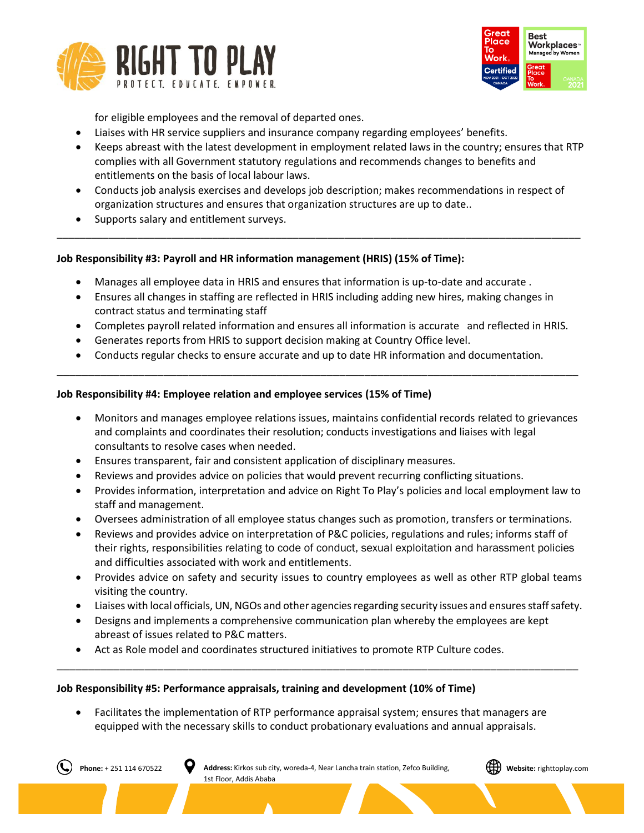



for eligible employees and the removal of departed ones.

- Liaises with HR service suppliers and insurance company regarding employees' benefits.
- Keeps abreast with the latest development in employment related laws in the country; ensures that RTP complies with all Government statutory regulations and recommends changes to benefits and entitlements on the basis of local labour laws.
- Conducts job analysis exercises and develops job description; makes recommendations in respect of organization structures and ensures that organization structures are up to date..

\_\_\_\_\_\_\_\_\_\_\_\_\_\_\_\_\_\_\_\_\_\_\_\_\_\_\_\_\_\_\_\_\_\_\_\_\_\_\_\_\_\_\_\_\_\_\_\_\_\_\_\_\_\_\_\_\_\_\_\_\_\_\_\_\_\_\_\_\_\_\_\_\_\_\_\_\_\_\_\_\_\_\_\_\_\_\_\_\_\_\_

Supports salary and entitlement surveys.

## **Job Responsibility #3: Payroll and HR information management (HRIS) (15% of Time):**

- Manages all employee data in HRIS and ensures that information is up-to-date and accurate .
- Ensures all changes in staffing are reflected in HRIS including adding new hires, making changes in contract status and terminating staff
- Completes payroll related information and ensures all information is accurate and reflected in HRIS.
- Generates reports from HRIS to support decision making at Country Office level.
- Conducts regular checks to ensure accurate and up to date HR information and documentation.

\_\_\_\_\_\_\_\_\_\_\_\_\_\_\_\_\_\_\_\_\_\_\_\_\_\_\_\_\_\_\_\_\_\_\_\_\_\_\_\_\_\_\_\_\_\_\_\_\_\_\_\_\_\_\_\_\_\_\_\_\_\_\_\_\_\_\_\_\_\_\_\_\_\_\_\_\_\_\_\_\_\_\_

## **Job Responsibility #4: Employee relation and employee services (15% of Time)**

- Monitors and manages employee relations issues, maintains confidential records related to grievances and complaints and coordinates their resolution; conducts investigations and liaises with legal consultants to resolve cases when needed.
- Ensures transparent, fair and consistent application of disciplinary measures.
- Reviews and provides advice on policies that would prevent recurring conflicting situations.
- Provides information, interpretation and advice on Right To Play's policies and local employment law to staff and management.
- Oversees administration of all employee status changes such as promotion, transfers or terminations.
- Reviews and provides advice on interpretation of P&C policies, regulations and rules; informs staff of their rights, responsibilities relating to code of conduct, sexual exploitation and harassment policies and difficulties associated with work and entitlements.
- Provides advice on safety and security issues to country employees as well as other RTP global teams visiting the country.
- Liaises with local officials, UN, NGOs and other agencies regarding security issues and ensures staff safety.
- Designs and implements a comprehensive communication plan whereby the employees are kept abreast of issues related to P&C matters.

\_\_\_\_\_\_\_\_\_\_\_\_\_\_\_\_\_\_\_\_\_\_\_\_\_\_\_\_\_\_\_\_\_\_\_\_\_\_\_\_\_\_\_\_\_\_\_\_\_\_\_\_\_\_\_\_\_\_\_\_\_\_\_\_\_\_\_\_\_\_\_\_\_\_\_\_\_\_\_\_\_\_\_

• Act as Role model and coordinates structured initiatives to promote RTP Culture codes.

## **Job Responsibility #5: Performance appraisals, training and development (10% of Time)**

• Facilitates the implementation of RTP performance appraisal system; ensures that managers are equipped with the necessary skills to conduct probationary evaluations and annual appraisals.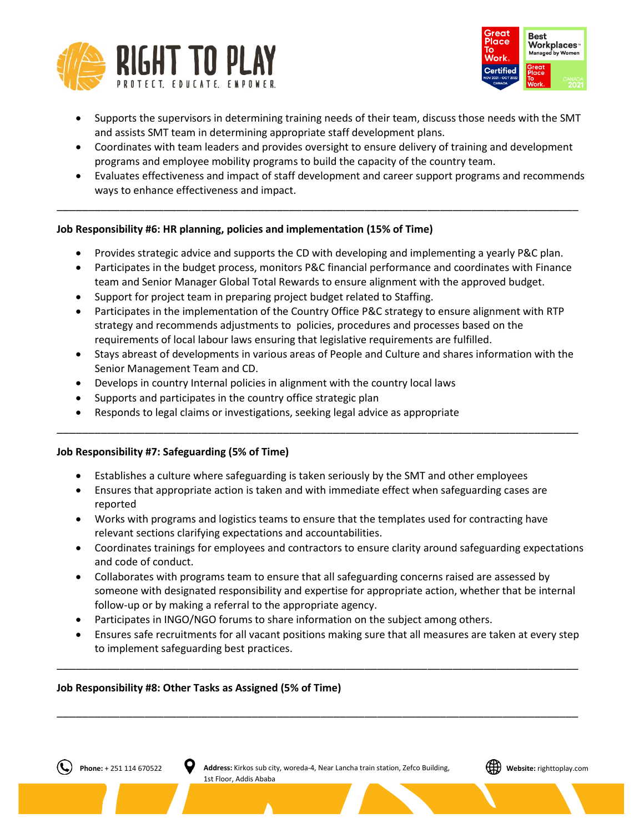



- Supports the supervisors in determining training needs of their team, discuss those needs with the SMT and assists SMT team in determining appropriate staff development plans.
- Coordinates with team leaders and provides oversight to ensure delivery of training and development programs and employee mobility programs to build the capacity of the country team.
- Evaluates effectiveness and impact of staff development and career support programs and recommends ways to enhance effectiveness and impact.

## **Job Responsibility #6: HR planning, policies and implementation (15% of Time)**

• Provides strategic advice and supports the CD with developing and implementing a yearly P&C plan.

\_\_\_\_\_\_\_\_\_\_\_\_\_\_\_\_\_\_\_\_\_\_\_\_\_\_\_\_\_\_\_\_\_\_\_\_\_\_\_\_\_\_\_\_\_\_\_\_\_\_\_\_\_\_\_\_\_\_\_\_\_\_\_\_\_\_\_\_\_\_\_\_\_\_\_\_\_\_\_\_\_\_\_

- Participates in the budget process, monitors P&C financial performance and coordinates with Finance team and Senior Manager Global Total Rewards to ensure alignment with the approved budget.
- Support for project team in preparing project budget related to Staffing.
- Participates in the implementation of the Country Office P&C strategy to ensure alignment with RTP strategy and recommends adjustments to policies, procedures and processes based on the requirements of local labour laws ensuring that legislative requirements are fulfilled.
- Stays abreast of developments in various areas of People and Culture and shares information with the Senior Management Team and CD.
- Develops in country Internal policies in alignment with the country local laws
- Supports and participates in the country office strategic plan
- Responds to legal claims or investigations, seeking legal advice as appropriate

## **Job Responsibility #7: Safeguarding (5% of Time)**

- Establishes a culture where safeguarding is taken seriously by the SMT and other employees
- Ensures that appropriate action is taken and with immediate effect when safeguarding cases are reported

\_\_\_\_\_\_\_\_\_\_\_\_\_\_\_\_\_\_\_\_\_\_\_\_\_\_\_\_\_\_\_\_\_\_\_\_\_\_\_\_\_\_\_\_\_\_\_\_\_\_\_\_\_\_\_\_\_\_\_\_\_\_\_\_\_\_\_\_\_\_\_\_\_\_\_\_\_\_\_\_\_\_\_

- Works with programs and logistics teams to ensure that the templates used for contracting have relevant sections clarifying expectations and accountabilities.
- Coordinates trainings for employees and contractors to ensure clarity around safeguarding expectations and code of conduct.
- Collaborates with programs team to ensure that all safeguarding concerns raised are assessed by someone with designated responsibility and expertise for appropriate action, whether that be internal follow-up or by making a referral to the appropriate agency.
- Participates in INGO/NGO forums to share information on the subject among others.
- Ensures safe recruitments for all vacant positions making sure that all measures are taken at every step to implement safeguarding best practices.

\_\_\_\_\_\_\_\_\_\_\_\_\_\_\_\_\_\_\_\_\_\_\_\_\_\_\_\_\_\_\_\_\_\_\_\_\_\_\_\_\_\_\_\_\_\_\_\_\_\_\_\_\_\_\_\_\_\_\_\_\_\_\_\_\_\_\_\_\_\_\_\_\_\_\_\_\_\_\_\_\_\_\_

\_\_\_\_\_\_\_\_\_\_\_\_\_\_\_\_\_\_\_\_\_\_\_\_\_\_\_\_\_\_\_\_\_\_\_\_\_\_\_\_\_\_\_\_\_\_\_\_\_\_\_\_\_\_\_\_\_\_\_\_\_\_\_\_\_\_\_\_\_\_\_\_\_\_\_\_\_\_\_\_\_\_\_

## **Job Responsibility #8: Other Tasks as Assigned (5% of Time)**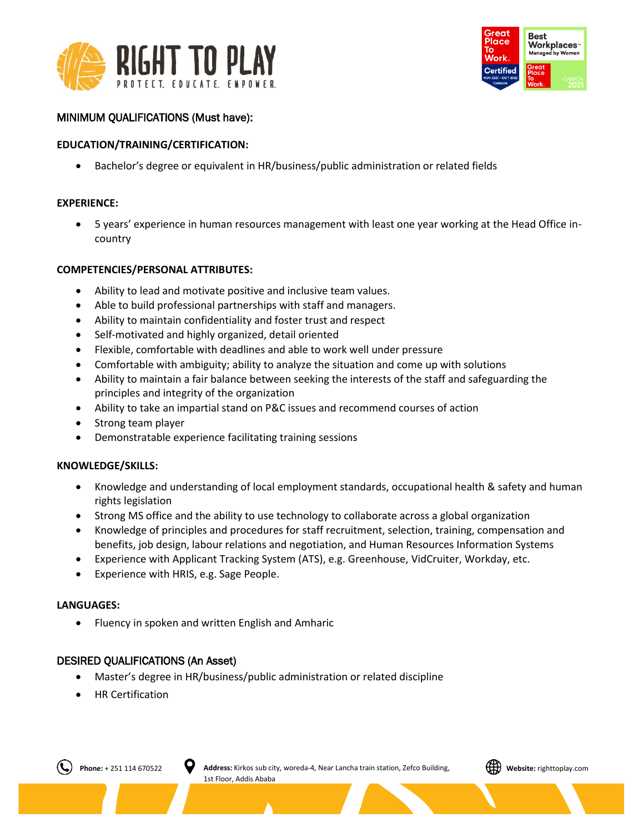



## MINIMUM QUALIFICATIONS (Must have):

## **EDUCATION/TRAINING/CERTIFICATION:**

• Bachelor's degree or equivalent in HR/business/public administration or related fields

### **EXPERIENCE:**

• 5 years' experience in human resources management with least one year working at the Head Office incountry

#### **COMPETENCIES/PERSONAL ATTRIBUTES:**

- Ability to lead and motivate positive and inclusive team values.
- Able to build professional partnerships with staff and managers.
- Ability to maintain confidentiality and foster trust and respect
- Self-motivated and highly organized, detail oriented
- Flexible, comfortable with deadlines and able to work well under pressure
- Comfortable with ambiguity; ability to analyze the situation and come up with solutions
- Ability to maintain a fair balance between seeking the interests of the staff and safeguarding the principles and integrity of the organization
- Ability to take an impartial stand on P&C issues and recommend courses of action
- Strong team player
- Demonstratable experience facilitating training sessions

#### **KNOWLEDGE/SKILLS:**

- Knowledge and understanding of local employment standards, occupational health & safety and human rights legislation
- Strong MS office and the ability to use technology to collaborate across a global organization
- Knowledge of principles and procedures for staff recruitment, selection, training, compensation and benefits, job design, labour relations and negotiation, and Human Resources Information Systems
- Experience with Applicant Tracking System (ATS), e.g. Greenhouse, VidCruiter, Workday, etc.
- Experience with HRIS, e.g. Sage People.

#### **LANGUAGES:**

• Fluency in spoken and written English and Amharic

### DESIRED QUALIFICATIONS (An Asset)

- Master's degree in HR/business/public administration or related discipline
- HR Certification